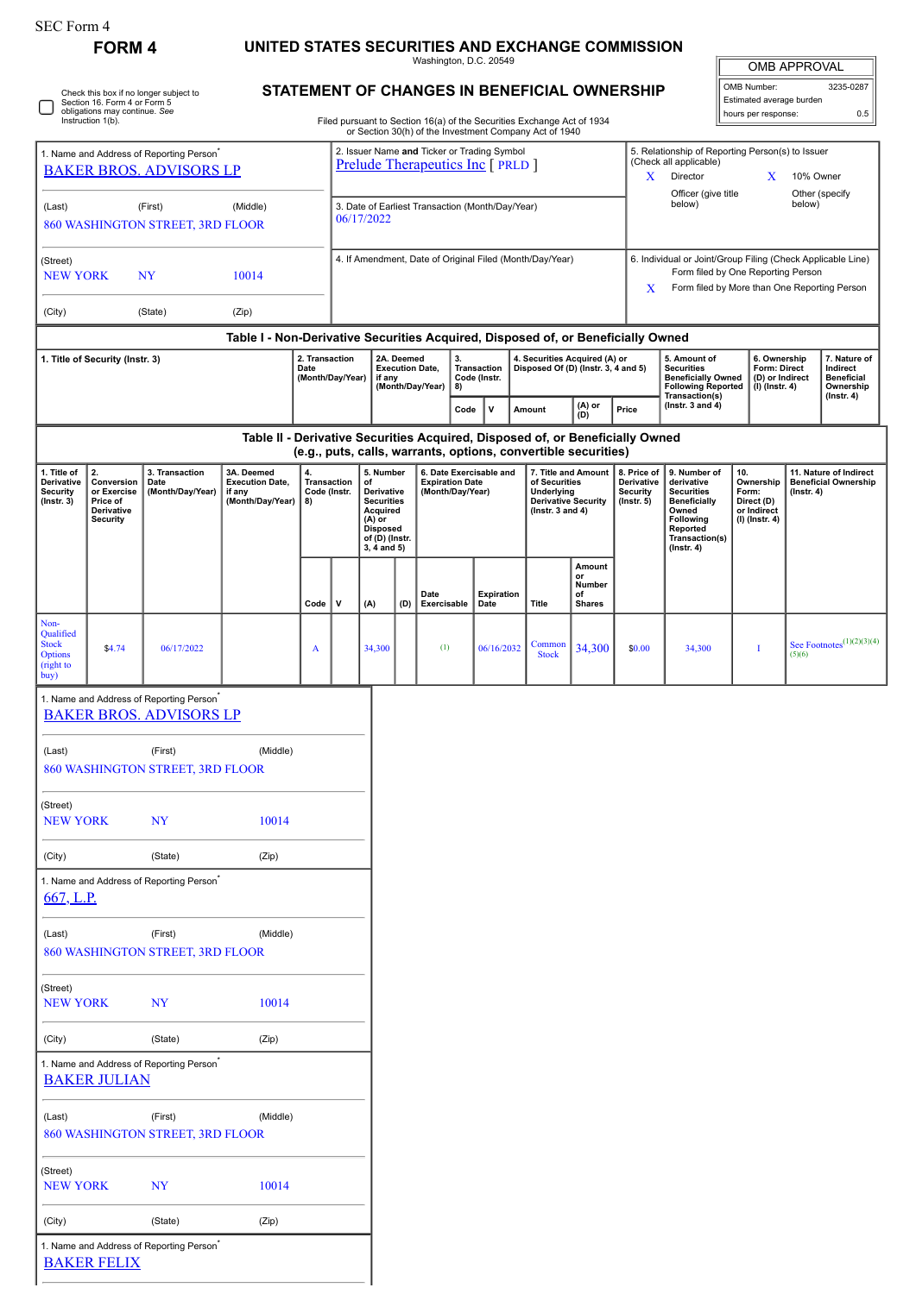| SEC Form |  |
|----------|--|
|----------|--|

## **FORM 4 UNITED STATES SECURITIES AND EXCHANGE COMMISSION**

Washington, D.C. 20549 **STATEMENT OF CHANGES IN BENEFICIAL OWNERSHIP**

| <b>OMB APPROVAL</b>      |           |  |  |  |  |  |  |
|--------------------------|-----------|--|--|--|--|--|--|
| OMB Number:              | 3235-0287 |  |  |  |  |  |  |
| Estimated average burden |           |  |  |  |  |  |  |

|                                                                                        | Section 16. Form 4 or Form 5<br>obligations may continue. See<br>Instruction 1(b). | Check this box if no longer subject to                                                 |                                                                               |                                         |                                                                |                                                                                                                                            |                                                                                                                                       |                     |                                                                       |                             |  | STATEMENT OF CHANGES IN BENEFICIAL OWNERSHIP<br>Filed pursuant to Section 16(a) of the Securities Exchange Act of 1934                                                     |                                               |                                                                  |                                                                                                                                                              |  | Estimated average burden<br>hours per response:                   |        | 0.5                                                                       |  |  |
|----------------------------------------------------------------------------------------|------------------------------------------------------------------------------------|----------------------------------------------------------------------------------------|-------------------------------------------------------------------------------|-----------------------------------------|----------------------------------------------------------------|--------------------------------------------------------------------------------------------------------------------------------------------|---------------------------------------------------------------------------------------------------------------------------------------|---------------------|-----------------------------------------------------------------------|-----------------------------|--|----------------------------------------------------------------------------------------------------------------------------------------------------------------------------|-----------------------------------------------|------------------------------------------------------------------|--------------------------------------------------------------------------------------------------------------------------------------------------------------|--|-------------------------------------------------------------------|--------|---------------------------------------------------------------------------|--|--|
| 1. Name and Address of Reporting Person <sup>®</sup><br><b>BAKER BROS, ADVISORS LP</b> |                                                                                    |                                                                                        |                                                                               |                                         |                                                                | or Section 30(h) of the Investment Company Act of 1940<br>2. Issuer Name and Ticker or Trading Symbol<br>Prelude Therapeutics Inc [ PRLD ] |                                                                                                                                       |                     |                                                                       |                             |  |                                                                                                                                                                            |                                               |                                                                  | 5. Relationship of Reporting Person(s) to Issuer<br>(Check all applicable)<br>X<br>Director<br>X                                                             |  |                                                                   |        | 10% Owner                                                                 |  |  |
| (First)<br>(Middle)<br>(Last)<br>860 WASHINGTON STREET, 3RD FLOOR                      |                                                                                    |                                                                                        |                                                                               |                                         | 3. Date of Earliest Transaction (Month/Day/Year)<br>06/17/2022 |                                                                                                                                            |                                                                                                                                       |                     |                                                                       |                             |  |                                                                                                                                                                            |                                               | Officer (give title<br>Other (specify<br>below)<br>below)        |                                                                                                                                                              |  |                                                                   |        |                                                                           |  |  |
| (Street)<br><b>NEW YORK</b><br>NY<br>10014                                             |                                                                                    |                                                                                        |                                                                               |                                         |                                                                | 4. If Amendment, Date of Original Filed (Month/Day/Year)                                                                                   |                                                                                                                                       |                     |                                                                       |                             |  |                                                                                                                                                                            |                                               |                                                                  | 6. Individual or Joint/Group Filing (Check Applicable Line)<br>Form filed by One Reporting Person<br>Form filed by More than One Reporting Person<br>X       |  |                                                                   |        |                                                                           |  |  |
| (City)                                                                                 |                                                                                    | (State)                                                                                | (Zip)                                                                         |                                         |                                                                |                                                                                                                                            |                                                                                                                                       |                     |                                                                       |                             |  |                                                                                                                                                                            |                                               |                                                                  |                                                                                                                                                              |  |                                                                   |        |                                                                           |  |  |
|                                                                                        |                                                                                    |                                                                                        |                                                                               | 2. Transaction                          |                                                                |                                                                                                                                            | Table I - Non-Derivative Securities Acquired, Disposed of, or Beneficially Owned<br>2A. Deemed<br>3.<br>4. Securities Acquired (A) or |                     |                                                                       |                             |  |                                                                                                                                                                            |                                               |                                                                  | 5. Amount of                                                                                                                                                 |  | 6. Ownership                                                      |        | 7. Nature of                                                              |  |  |
|                                                                                        | 1. Title of Security (Instr. 3)                                                    |                                                                                        |                                                                               | Date                                    | (Month/Day/Year)                                               |                                                                                                                                            | <b>Execution Date,</b><br>if any<br>(Month/Day/Year)                                                                                  |                     | 8)                                                                    | Transaction<br>Code (Instr. |  | Disposed Of (D) (Instr. 3, 4 and 5)<br>(A) or                                                                                                                              |                                               |                                                                  | <b>Securities</b><br><b>Beneficially Owned</b><br><b>Following Reported</b><br>Transaction(s)<br>(Instr. $3$ and $4$ )                                       |  | Form: Direct<br>(D) or Indirect<br>(I) (Instr. 4)                 |        | Indirect<br><b>Beneficial</b><br>Ownership<br>$($ Instr. 4 $)$            |  |  |
|                                                                                        |                                                                                    |                                                                                        | Table II - Derivative Securities Acquired, Disposed of, or Beneficially Owned |                                         |                                                                |                                                                                                                                            |                                                                                                                                       |                     | Code                                                                  | $\mathsf{v}$                |  | Amount                                                                                                                                                                     | (D)                                           | Price                                                            |                                                                                                                                                              |  |                                                                   |        |                                                                           |  |  |
| 1. Title of<br>Derivative<br><b>Security</b><br>$($ Instr. 3 $)$                       | 2.<br>Conversion<br>or Exercise<br>Price of<br>Derivative<br><b>Security</b>       | 3. Transaction<br>Date<br>(Month/Day/Year)                                             | 3A. Deemed<br><b>Execution Date,</b><br>if any<br>(Month/Day/Year)            | 4.<br>Transaction<br>Code (Instr.<br>8) |                                                                | 5. Number<br>of<br>Derivative<br><b>Securities</b><br>Acquired<br>$(A)$ or<br><b>Disposed</b><br>of (D) (Instr.<br>3, 4 and 5)             |                                                                                                                                       |                     | 6. Date Exercisable and<br><b>Expiration Date</b><br>(Month/Day/Year) |                             |  | (e.g., puts, calls, warrants, options, convertible securities)<br>7. Title and Amount<br>of Securities<br>Underlying<br><b>Derivative Security</b><br>( $lnstr. 3 and 4$ ) |                                               | 8. Price of<br>Derivative<br><b>Security</b><br>$($ lnstr. 5 $)$ | 9. Number of<br>10.<br>derivative<br><b>Securities</b><br><b>Beneficially</b><br>Owned<br><b>Following</b><br>Reported<br>Transaction(s)<br>$($ lnstr. 4 $)$ |  | Ownership<br>Form:<br>Direct (D)<br>or Indirect<br>(I) (Instr. 4) |        | 11. Nature of Indirect<br><b>Beneficial Ownership</b><br>$($ lnstr. 4 $)$ |  |  |
|                                                                                        |                                                                                    |                                                                                        |                                                                               | Code                                    | v                                                              | (A)                                                                                                                                        | (D)                                                                                                                                   | Date<br>Exercisable |                                                                       | <b>Expiration</b><br>Date   |  | <b>Title</b>                                                                                                                                                               | Amount<br>or<br>Number<br>of<br><b>Shares</b> |                                                                  |                                                                                                                                                              |  |                                                                   |        |                                                                           |  |  |
| Non-<br>Qualified<br><b>Stock</b><br><b>Options</b><br>(right to<br>buy)               | \$4.74                                                                             | 06/17/2022                                                                             |                                                                               | A                                       |                                                                | 34,300                                                                                                                                     |                                                                                                                                       | (1)                 |                                                                       | 06/16/2032                  |  | Common<br><b>Stock</b>                                                                                                                                                     | 34,300                                        | \$0.00                                                           | 34,300                                                                                                                                                       |  | I                                                                 | (5)(6) | See Footnotes $(1)(2)(3)(4)$                                              |  |  |
|                                                                                        |                                                                                    | 1. Name and Address of Reporting Person <sup>®</sup><br><b>BAKER BROS. ADVISORS LP</b> |                                                                               |                                         |                                                                |                                                                                                                                            |                                                                                                                                       |                     |                                                                       |                             |  |                                                                                                                                                                            |                                               |                                                                  |                                                                                                                                                              |  |                                                                   |        |                                                                           |  |  |
| (Last)                                                                                 |                                                                                    | (First)<br>860 WASHINGTON STREET, 3RD FLOOR                                            | (Middle)                                                                      |                                         |                                                                |                                                                                                                                            |                                                                                                                                       |                     |                                                                       |                             |  |                                                                                                                                                                            |                                               |                                                                  |                                                                                                                                                              |  |                                                                   |        |                                                                           |  |  |
| (Street)<br><b>NEW YORK</b>                                                            |                                                                                    | NY                                                                                     | 10014                                                                         |                                         |                                                                |                                                                                                                                            |                                                                                                                                       |                     |                                                                       |                             |  |                                                                                                                                                                            |                                               |                                                                  |                                                                                                                                                              |  |                                                                   |        |                                                                           |  |  |
| (City)                                                                                 |                                                                                    | (State)                                                                                | (Zip)                                                                         |                                         |                                                                |                                                                                                                                            |                                                                                                                                       |                     |                                                                       |                             |  |                                                                                                                                                                            |                                               |                                                                  |                                                                                                                                                              |  |                                                                   |        |                                                                           |  |  |
| 667, L.P.                                                                              |                                                                                    | 1. Name and Address of Reporting Person <sup>®</sup>                                   |                                                                               |                                         |                                                                |                                                                                                                                            |                                                                                                                                       |                     |                                                                       |                             |  |                                                                                                                                                                            |                                               |                                                                  |                                                                                                                                                              |  |                                                                   |        |                                                                           |  |  |
| (Last)                                                                                 |                                                                                    | (First)<br>860 WASHINGTON STREET, 3RD FLOOR                                            | (Middle)                                                                      |                                         |                                                                |                                                                                                                                            |                                                                                                                                       |                     |                                                                       |                             |  |                                                                                                                                                                            |                                               |                                                                  |                                                                                                                                                              |  |                                                                   |        |                                                                           |  |  |
| (Street)<br><b>NEW YORK</b>                                                            |                                                                                    | <b>NY</b>                                                                              | 10014                                                                         |                                         |                                                                |                                                                                                                                            |                                                                                                                                       |                     |                                                                       |                             |  |                                                                                                                                                                            |                                               |                                                                  |                                                                                                                                                              |  |                                                                   |        |                                                                           |  |  |
| (City)                                                                                 |                                                                                    | (State)                                                                                | (Zip)                                                                         |                                         |                                                                |                                                                                                                                            |                                                                                                                                       |                     |                                                                       |                             |  |                                                                                                                                                                            |                                               |                                                                  |                                                                                                                                                              |  |                                                                   |        |                                                                           |  |  |
|                                                                                        | <b>BAKER JULIAN</b>                                                                | 1. Name and Address of Reporting Person <sup>®</sup>                                   |                                                                               |                                         |                                                                |                                                                                                                                            |                                                                                                                                       |                     |                                                                       |                             |  |                                                                                                                                                                            |                                               |                                                                  |                                                                                                                                                              |  |                                                                   |        |                                                                           |  |  |
| (Last)                                                                                 |                                                                                    | (First)<br>860 WASHINGTON STREET, 3RD FLOOR                                            | (Middle)                                                                      |                                         |                                                                |                                                                                                                                            |                                                                                                                                       |                     |                                                                       |                             |  |                                                                                                                                                                            |                                               |                                                                  |                                                                                                                                                              |  |                                                                   |        |                                                                           |  |  |
| (Street)<br><b>NEW YORK</b>                                                            |                                                                                    | NY                                                                                     | 10014                                                                         |                                         |                                                                |                                                                                                                                            |                                                                                                                                       |                     |                                                                       |                             |  |                                                                                                                                                                            |                                               |                                                                  |                                                                                                                                                              |  |                                                                   |        |                                                                           |  |  |
| (City)                                                                                 |                                                                                    | (State)                                                                                | (Zip)                                                                         |                                         |                                                                |                                                                                                                                            |                                                                                                                                       |                     |                                                                       |                             |  |                                                                                                                                                                            |                                               |                                                                  |                                                                                                                                                              |  |                                                                   |        |                                                                           |  |  |
|                                                                                        | <b>BAKER FELIX</b>                                                                 | 1. Name and Address of Reporting Person <sup>®</sup>                                   |                                                                               |                                         |                                                                |                                                                                                                                            |                                                                                                                                       |                     |                                                                       |                             |  |                                                                                                                                                                            |                                               |                                                                  |                                                                                                                                                              |  |                                                                   |        |                                                                           |  |  |